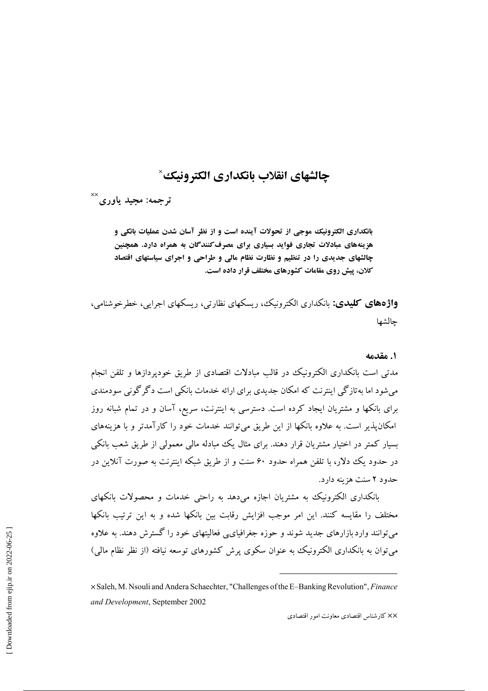# **چالشهای انقلاب بانکداری الکترونیک** $^{\times}$

ترجمه: مجيد ياورى<sup>××</sup>

**بانکداری الکترونیک موجی از تحولات آینده است و از نظر آسان شدن عملیات بانکی و** هزینههای مبادلات تجاری فوای*د* بسیاری برای مصرف *کنند گان* به همراه دارد. همچنین **چالشهای جدیدی را در تنظیم و نظارت نظام مالی و طراحی و اجرای سیاستهای اقتصاد كلان، پیش روی مقامات كشورهای مختلف قرار داده است.** 

**واژدهای کلیدی:** بانکداری الکترونیک، ریسکهای نظارتی، ریسکهای اجرایی، خطرخوشنامی، جالشها

#### **1.** مقدمه

مدتی است بانکداری الکترونیک در قالب مبادلات اقتصادی از طریق خودپردازها و تلفن انجام میشود اما بهتازگی اینترنت که امکان جدیدی برای ارائه خدمات بانکی است دگرگونی سودمندی برای بانکها و مشتریان ایجاد کرده است. دسترسی به اینترنت، سریع، آسان و در تمام شبانه روز امکان $بذیر است. به علاوه بانکها از این طریق میتوانند خدمات خود را کارآمدتر و با هزینههای$ بسیار کمتر در اختیار مشتریان قرار دهند. برای مثال یک مبادله مالی معمولی از طریق شعب بانکی در حدود یک دلار، با تلفن همراه حدود ۶۰ سنت و از طریق شبکه اینترنت به صورت آنلاین در حدود ۲ سنت هزينه دارد.

بانکداری الکترونیک به مشتریان اجازه میدهد به راحتی خدمات و محصولات بانکهای مختلف را مقایسه کنند. این امر موجب افزایش رقابت بین بانکها شده و به این ترتیب بانکها میتوانند واردبازارهای جدید شوند و حوزه جغرافیای<sub>ک</sub>ی فعالیتهای خود را گسترش دهند. به علاوه میتوان به بانکداری الکترونیک به عنوان سکوی پرش کشورهای توسعه نیافته (از نظر نظام مالی)

XX كارشناس اقتصادى معاونت امور اقتصادى

 $\times$  Saleh, M. Nsouli and Andera Schaechter, "Challenges of the E-Banking Revolution", Finance and Development, September 2002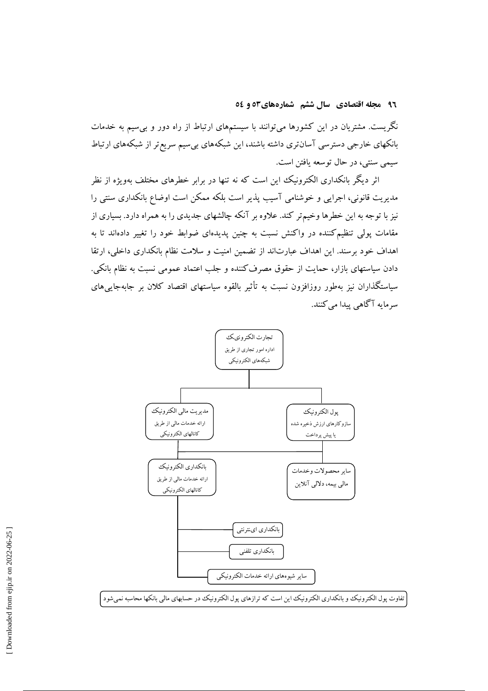۹۲ مجله اقتصادی سال ششم شمارههای۵۳ و ٥٤

نگریست. مشتریان در این کشورها میتوانند با سیستمهای ارتباط از راه دور و بی سیم به خدمات بانکهای خارجی دسترسی آسانتری داشته باشند، این شبکههای بیسیم سریع تر از شبکههای ارتباط سيمي سنتي، در حال توسعه يافتن است.

اثر دیگر بانکداری الکترونیک این است که نه تنها در برابر خطرهای مختلف بهویژه از نظر مدیریت قانونی، اجرایی و خوشنامی آسیب پذیر است بلکه ممکن است اوضاع بانکداری سنتی را نیز با توجه به این خطرها وخیمتر کند. علاوه بر آنکه چالشهای جدیدی را به همراه دارد. بسیاری از مقامات پولی تنظیمکننده در واکنش نسبت به چنین پدیدهای ضوابط خود را تغییر دادهاند تا به اهداف خود برسند. این اهداف عبارتاند از تضمین امنیت و سلامت نظام بانکداری داخلی، ارتقا دادن سیاستهای بازار، حمایت از حقوق مصرف کننده و جلب اعتماد عمومی نسبت به نظام بانکی. سیاستگذاران نیز بهطور روزافزون نسبت به تأثیر بالقوه سیاستهای اقتصاد کلان بر جابهجاییهای سرمايه آگاهي پيدا مي کنند.

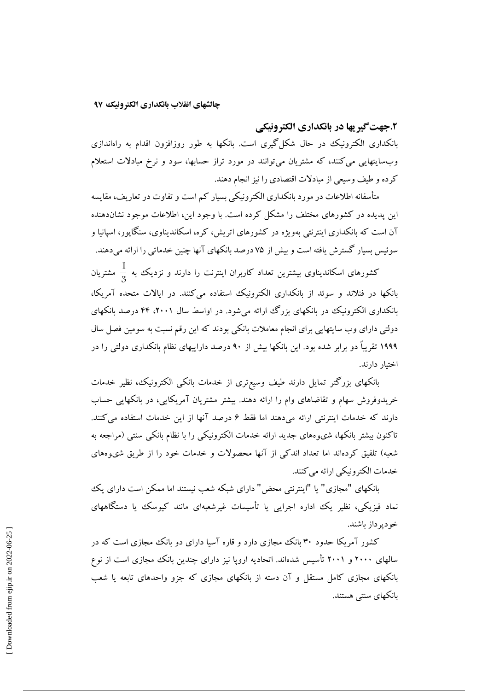#### **۲.جهت گیر یها در بانکداری الکترونیکی**

بانکداری الکترونیک در حال شکل گیری است. بانکها به طور روزافزون اقدام به راهاندازی وبسایتهایی میکنند، که مشتریان میتوانند در مورد تراز حسابها، سود و نرخ مبادلات استعلام کرده و طیف وسیعی از مبادلات اقتصادی را نیز انجام دهند.

متاسفانه اطلاعات در مورد بانکداری الکترونیکی بسیار کم است و تفاوت در تعاریف، مقایسه این پدیده در کشورهای مختلف را مشکل کرده است. با وجود این، اطلاعات موجود نشاندهنده ان است که بانکداری اینترنتی بهویژه در کشورهای اتریش، کره، اسکاندیناوی، سنگاپور، اسپانیا و سوئیس بسیار کسترش یافته است و بیش از ۷۵ درصد بانکهای آنها چنین خدماتی را ارائه میدهند.

کشورهای اسکاندیناوی بیشترین تعداد کاربران اینترنت را دارند و نزدیک به  $\frac{1}{3}$  مشتریان بانکها در فنلاند و سوئد از بانکداری الکترونیک استفاده میکنند. در ایالات متحده آمریکا، بانکداری الکترونیک در بانکهای بزرگ ارائه میشود. در اواسط سال ۲۰۰۱، ۴۴ درصد بانکهای دولتی دارای وب سایتهایی برای انجام معاملات بانکی بودند که این رقم نسبت به سومین فصل سال ۱۹۹۹ تقریبا دو برابر شده بود. این بانکها بیش از ۹۰ درصد داراییهای نظام بانکداری دولتی را در اختیار دارند.

بانکهای بزرگتر تمایل دارند طیف وسیعتری از خدمات بانکی الکترونیک، نظیر خدمات خریدوفروش سهام و تقاضاهای وام را ارائه دهند. بیشتر مشتریان آمریکایی، در بانکهایی حساب دارند که خدمات اینترنتی ارائه میدهند اما فقط ۶ درصد آنها از این خدمات استفاده میکنند. تاکنون بیشتر بانکها، شیوههای جدید ارائه خدمات الکترونیکی را با نظام بانکی سنتی (مراجعه به شعبه) تلفیق کردهاند اما تعداد اندکی از آنها محصولات و خدمات خود را از طریق شیوههای خدمات الكترونيكي ارائه مي كنند.

بانکهای "مجازی" یا "اینترنتی محض" دارای شبکه شعب نیستند اما ممکن است دارای یک نماد فیزیکی، نظیر یک اداره اجرایی یا تاسیسات غیرشعبهای مانند کیوسک یا دستگاههای خو دير داز باشند.

کشور امریکا حدود ۳۰ بانک مجازی دارد و قاره اسیا دارای دو بانک مجازی است که در سالهای ۲۰۰۰ و ۲۰۰۱ تاسیس شدهاند. اتحادیه اروپا نیز دارای چندین بانک مجازی است از نوع بانکهای مجازی کامل مستقل و آن دسته از بانکهای مجازی که جزو واحدهای تابعه یا شعب بانکهای سنتی هستند.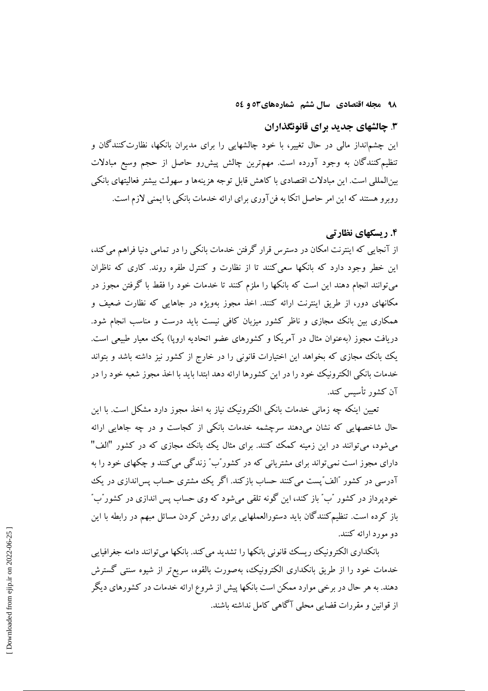۹۸ مجله اقتصادی سال ششم شمارههای۵۲ و ٥٤

## ۳. چالشهای جدید برای قانونگذاران

این چشم|نداز مالی در حال تغییر، با خود چالشهایی را برای مدیران بانکها، نظارتکنندگان و تنظیم کنندگان به وجود آورده است. مهمترین چالش پیشررو حاصل از حجم وسیع مبادلات بینالمللی است. این مبادلات اقتصادی با کاهش قابل توجه هزینهها و سهولت بیشتر فعالیتهای بانکی روبرو هستند که این امر حاصل اتکا به فن آوری برای ارائه خدمات بانکی با ایمنی لازم است.

## ۴. ریسکهای نظارتی

از آنجایی که اینترنت امکان در دسترس قرار گرفتن خدمات بانکی را در تمامی دنیا فراهم می کند، این خطر وجود دارد که بانکها سعی کنند تا از نظارت و کنترل طفره روند. کاری که ناظران میتوانند انجام دهند این است که بانکها را ملزم کنند تا خدمات خود را فقط با گرفتن مجوز در مکانهای دور، از طریق اینترنت ارائه کنند. اخذ مجوز بهویژه در جاهایی که نظارت ضعیف و همکاری بین بانک مجازی و ناظر کشور میزبان کافی نیست باید درست و مناسب انجام شود. دریافت مجوز (بهعنوان مثال در آمریکا و کشورهای عضو اتحادیه اروپا) یک معیار طبیعی است. یک بانک مجازی که بخواهد این اختیارات قانونی را در خارج از کشور نیز داشته باشد و بتواند خدمات مانکی الکترونیک خود را در این کشورها ارائه دهد ابتدا باید با اخذ مجوز شعبه خود را در آن كشور تأسس كند.

تعیین اینکه چه زمانی خدمات بانکی الکترونیک نیاز به اخذ مجوز دارد مشکل است. با این حال شاخصهایی که نشان می،دهند سرچشمه خدمات بانکی از کجاست و در چه جاهایی ارائه می شود، می توانند در این زمینه کمک کنند. برای مثال یک بانک مجازی که در کشور "الف" دارای مجوز است نمیتواند برای مشتریانی که در کشور ٌب ٌ زندگی می کنند و چکهای خود را به آدرسی در کشور "الف"یست می کنند حساب بازکند. اگر یک مشتری حساب پس اندازی در یک خودیرداز در کشور "ب" باز کند، این گونه تلقی می شود که وی حساب پس اندازی در کشور"ب" باز کرده است. تنظیم کنندگان باید دستورالعملهایی برای روشن کردن مسائل مبهم در رابطه با این دو مورد ارائه کنند.

بانکداری الکترونیک ریسک قانونی بانکها را تشدید می کند. بانکها می توانند دامنه جغرافیایی خدمات خود را از طریق بانکداری الکترونیک، بهصورت بالقوه، سریع تر از شیوه سنتی گسترش دهند. به هر حال در برخی موارد ممکن است بانکها پیش از شروع ارائه خدمات در کشورهای دیگر از قوانین و مقررات قضایی محلی آگاهی کامل نداشته باشند.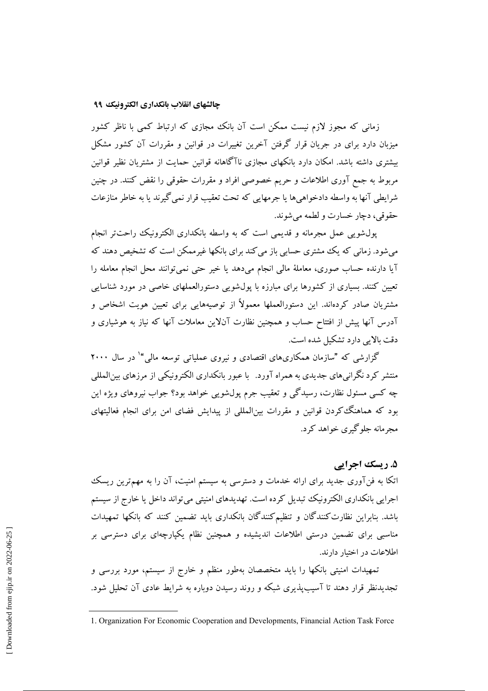زمانی که مجوز لازم نیست ممکن است آن بانک مجازی که ارتباط کمی با ناظر کشور میزبان دارد برای در جریان قرار گرفتن آخرین تغییرات در قوانین و مقررات آن کشور مشکل بیشتری داشته باشد. امکان دارد بانکهای مجازی ناآگاهانه قوانین حمایت از مشتریان نظیر قوانین مربوط به جمع آوری اطلاعات و حریم خصوصی افراد و مقررات حقوقی را نقض کنند. در چنین شرايطي آنها به واسطه دادخواهيها يا جرمهايي كه تحت تعقيب قرار نمي گيرند يا به خاطر منازعات حقوقي، دجار خسارت و لطمه مي شوند.

یول شویی عمل مجرمانه و قدیمی است که به واسطه بانکداری الکترونیک راحت تر انجام می شود. زمانی که یک مشتری حسابی باز می کند برای بانکها غیرممکن است که تشخیص دهند که آيا دارنده حساب صوري، معاملهٔ مالي انجام ميﺩهد يا خير حتى نمي توانند محل انجام معامله را تعیین کنند. بسیاری از کشورها برای مبارزه با پول<mark>شویی دستورالعملهای خاصی در مورد شناسایی</mark> مشتریان صادر کردهاند. این دستورالعملها معمولاً از توصیههایی برای تعیین هویت اشخاص و آدرس آنها پیش از افتتاح حساب و همچنین نظارت آنلاین معاملات آنها که نیاز به هوشیاری و دقت بالایر دارد تشکیل شده است.

گزارشی که "سازمان همکاریهای اقتصادی و نیروی عملیاتی توسعه مالی" در سال ۲۰۰۰ منتشر کرد نگرانی های جدیدی به همراه آورد. پا عبور بانکداری الکترونیکی از مرزهای بین المللی چه کسی مسئول نظارت، رسیدگی و تعقیب جرم پولشویی خواهد بود؟ جواب نیروهای ویژه این <sub>.</sub><br>بود که هماهنگ کردن قوانین و مقررات بینالمللی از پیدایش فضای امن برای انجام فعالیتهای محہ مانه حلو گبری خواهد کر د.

## ۵. ریسک اجرایی

اتکا به فنآوری جدید برای ارائه خدمات و دسترسی به سیستم امنیت، آن را به مهمترین ریسک اجرایی بانکداری الکترونیک تبدیل کرده است. تهدیدهای امنیتی می تواند داخل یا خارج از سیستم باشد. بنابراین نظارت کنندگان و تنظیم کنندگان بانکداری باید تضمین کنند که بانکها تمهیدات مناسبی برای تضمین درستی اطلاعات اندیشیده و همچنین نظام یکپارچهای برای دسترسی بر اطلاعات در اختیار دارند.

تمهیدات امنیتی بانکها را باید متخصصان بهطور منظم و خارج از سیستم، مورد بررسی و تجدیدنظر قرار دهند تا آسیب پذیری شبکه و روند رسیدن دوباره به شرایط عادی آن تحلیل شود.

<sup>1.</sup> Organization For Economic Cooperation and Developments, Financial Action Task Force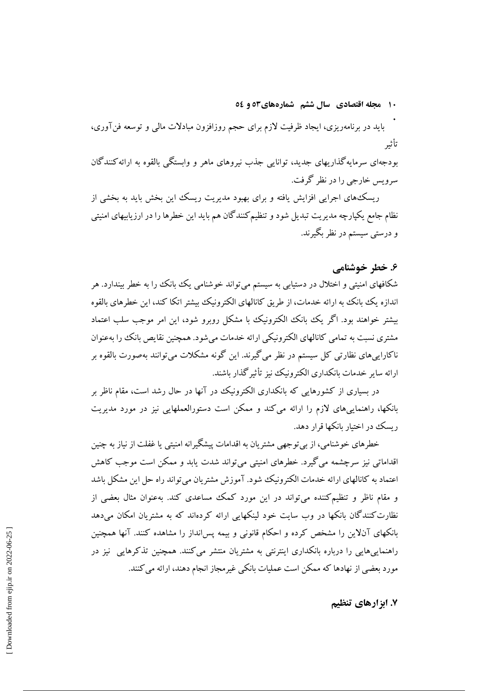**۱۰ مجله اقتصادی ًسال ششم ً شمارههای۵۲ و وگ**۰

**.**<br>باید در برنامهریزی، ایجاد ظرفیت لازم برای حجم روزافزون مبادلات مال<sub>ی</sub> و توسعه فنآوری، تأثير

بودجهای سرمایه گذاریهای جدید، توانایی جذب نیروهای ماهر و وابستگی بالقوه به ارائه کنندگان سرویس خارجی را در نظر گرفت.

ریسک های اجرایی افزایش یافته و برای بهبود مدیریت ریسک این بخش باید به بخشی از نظام جامع یکپارچه مدیریت تبدیل شود و تنظیم کنندگان هم باید این خطرها را در ارزیابیهای امنیتی و درستی سیستم در نظر بگیرند.

## ۶. خطر خوشنامے <u>,</u>

شکافهای امنیتی و اختلال در دستیابی به سیستم میتواند خوشنامی یک بانک را به خطر بیندارد. هر ندازه یک بانک به ارائه خدمات، از طریق کانالهای الکترونیک بیشتر اتکا کند، این خطرهای بالقوه  $\overline{\phantom{a}}$ بیشتر خواهند بود. اگر یک بانک الکترونیک با مشکل روبرو شود، این امر موجب سلب اعتماد مشتری نسبت به تمامی کانالهای الکترونیکی ارائه خدمات میشود. همچنین نقایص بانک را بهعنوان ناکاراییهای نظارتی کل سیستم در نظر میگیرند. این گونه مشکلات میتوانند بهصورت بالقوه بر ارائه سایر خدمات بانکداری الکترونیک نیز تاثیر گذار باشند.

در بسیاری از کشورهایی که بانکداری الکترونیک در آنها در حال رشد است، مقام ناظر بر بانکها، راهنماییهای لازم را ارائه میکند و ممکن است دستورالعملهایی نیز در مورد مدیریت ریسک در اختیار بانکها قرار دهد.

خطرهای خوشنامی، از بی توجهی مشتریان به اقدامات پیشگیرانه امنیتی یا غفلت از نیاز به چنین اقداماتی نیز سرچشمه می گیرد. خطرهای امنیتی میتواند شدت یابد و ممکن است موجب کاهش اعتماد به کانالهای ارائه خدمات الکترونیک شود. آموزش مشتریان میتواند راه حل این مشکل باشد و مقام ناظر و تنظیم کننده میتواند در این مورد کمک مساعدی کند. بهعنوان مثال بعضی از نظارت کنندگان بانکها در وب سایت خود لینکهایی ارائه کردهاند که به مشتریان امکان میدهد بانکهای آنلاین را مشخص کرده و احکام قانونی و بیمه پس|نداز را مشاهده کنند. آنها همچنین راهنماییهایی را درباره بانکداری اینترنتی به مشتریان منتشر میکنند. همچنین تذکرهایی نیز در مورد بعضی از نهادها که ممکن است عملیات بانکی غیرمجاز انجام دهند، ارائه می کنند.

**X. ابزارهای تنظیم**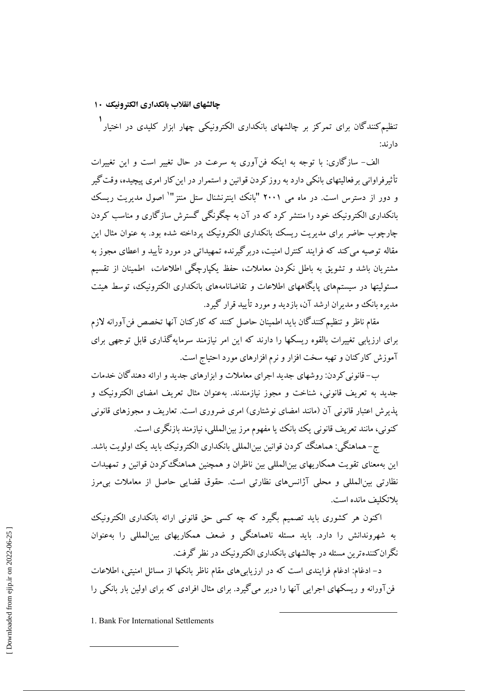## چالشهای انقلاب بانکداری الکترونیک ۱۰

.<br>تنظیم کنندگان برای تمرکز بر چالشهای بانکداری الکترونیکی چهار ابزار کلیدی در اختیار دار ند:

الف- سازگاري: با توجه به اينکه فن آوري به سرعت در حال تغيير است و اين تغييرات تأثیرفراوانی بر فعالیتهای بانکی دارد به روز کردن قوانین و استمرار در این کار امری پیچیده، وقت گیر و دور از دسترس است. در ماه می ۲۰۰۱ "بانک اینترنشنال ستل منتز" اصول مدیریت ریسک پانکداری الکترونیک خود را منتشر کرد که در آن به چگونگی گسترش سازگاری و مناسب کردن چارچوب حاضر برای مدیریت ریسک بانکداری الکترونیک پرداخته شده بود. به عنوان مثال این مقاله توصیه می کند که فرایند کنترل امنیت، دربرگیرنده تمهیداتی در مورد تأیید و اعطای مجوز به مشتریان باشد و تشویق به باطل نکردن معاملات، حفظ یکپارچگی اطلاعات، اطمینان از تقسیم مسئولیتها در سیستمهای پایگاههای اطلاعات و تقاضانامههای بانکداری الکترونیک، توسط هیئت مدیره بانک و مدیران ارشد آن، بازدید و مورد تأیید قرار گیرد.

مقام ناظر و تنظیم کنندگان باید اطمینان حاصل کنند که کارکنان آنها تخصص فن آورانه لازم برای ارزیابی تغییرات بالقوه ریسکها را دارند که این امر نیازمند سرمایهگذاری قابل توجهی برای آموزش کارکنان و تهیه سخت افزار و نرم افزارهای مورد احتیاج است.

ب- قانونی کردن: روشهای جدید اجرای معاملات و ایزارهای جدید و ارائه دهندگان خدمات جديد به تعريف قانوني، شناخت و مجوز نيازمندند. بهعنوان مثال تعريف امضاى الكترونيك و یذیرش اعتبار قانونی آن (مانند امضای نوشتاری) امری ضروری است. تعاریف و مجوزهای قانونی کنونی، مانند تعریف قانونی یک بانک یا مفهوم مرز بین|لمللی، نیازمند بازنگری است.

ج- هماهنگي: هماهنگ كردن قوانين بين|لمللي بانكداري الكترونيك بايد يك اولويت باشد. این بهمعنای تقویت همکاریهای بین|لمللی بین ناظران و همچنین هماهنگ کردن قوانین و تمهیدات نظارتی بین|لمللی و محلی آژانسهای نظارتی است. حقوق قضایی حاصل از معاملات بی مرز ىلاتكلىف مانده است.

اکنون هر کشوری باید تصمیم بگیرد که چه کسی حق قانونی ارائه بانکداری الکترونیک به شهروندانش را دارد. باید مسئله ناهماهنگی و ضعف همکاریهای بین(لمللی را بهعنوان نگران کننده ترین مسئله در چالشهای پانکداری الکترونیک در نظر گرفت.

د– ادغام: ادغام فرایندی است که در ارزیابی های مقام ناظر بانکها از مسائل امنیتی، اطلاعات فنآورانه و ریسکهای اجرایی آنها را دربر می گیرد. برای مثال افرادی که برای اولین بار بانکی را

<sup>1.</sup> Bank For International Settlements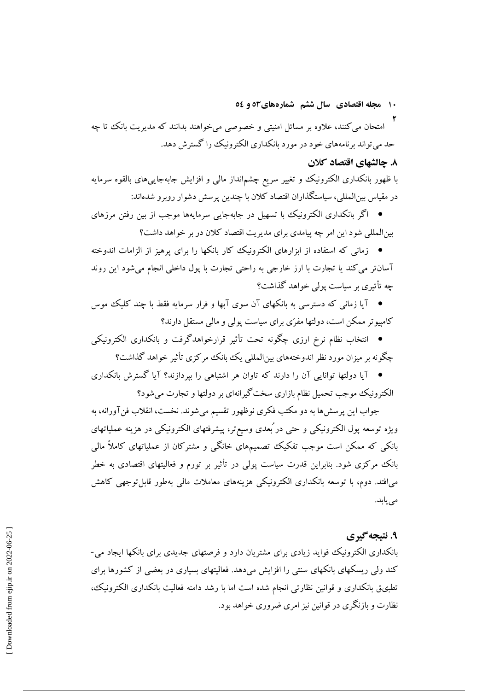- ۱۰ مجله اقتصادی سال ششم شمارههای۵۲ و ٥٤
- امتحان می کنند، علاوه بر مسائل امنیتی و خصوصی میخواهند بدانند که مدیریت بانک تا چه حد میتواند برنامههای خود در مورد بانکداری الکترونیک را گسترش دهد.

## ٨. چالشهای اقتصاد کلان

با ظهور بانکداری الکترونیک و تغییر سریع چشمانداز مالی و افزایش جابهجاییهای بالقوه سرمایه در مقیاس بین|لمللی، سیاستگذاران اقتصاد کلان با چندین پرسش دشوار روبرو شدهاند:

● اگر بانکداری الکترونیک با تسهیل در جابهجایی سرمایهها موجب از بین رفتن مرزهای بینالمللی شود این امر چه پیامدی برای مدیریت اقتصاد کلان در بر خواهد داشت؟

● زمانی که استفاده از ایزارهای الکترونیک کار پانکها را برای پرهیز از الزامات اندوخته آسان تر می کند یا تجارت با ارز خارجی به راحتی تجارت با پول داخلی انجام می شود این روند چه تأثیری بر سیاست یولی خواهد گذاشت؟

● آیا زمانی که دسترسی به بانکهای آن سوی آبها و فرار سرمایه فقط با چند کلیک موس کامپیوتر ممکن است، دولتها مفرّی برای سیاست پولی و مالی مستقل دارند؟

● انتخاب نظام نرخ ارزی چگونه تحت تأثیر قرارخواهدگرفت و بانکداری الکترونیکی چگونه بر میزان مورد نظر اندوختههای بینالمللی یک بانک مرکزی تأثیر خواهد گذاشت؟

● آیا دولتھا توانایی آن را دارند که تاوان هر اشتباهی را بیردازند؟ آیا گسترش بانکداری الکترونیک موجب تحمیل نظام بازاری سخت گیرانهای بر دولتها و تجارت می شود؟

جواب این پرسشها به دو مکتب فکری نوظهور تقسیم میشوند. نخست، انقلاب فن آورانه، به ویژه توسعه پول الکترونیکی و حتی در ُبعدی وسیع تر، پیشرفتهای الکترونیکی در هزینه عملیاتهای بانکی که ممکن است موجب تفکیک تصمیمهای خانگی و مشترکان از عملیاتهای کاملاً مالی بانک مرکزی شود. بنابراین قدرت سیاست پولی در تأثیر بر تورم و فعالیتهای اقتصادی به خطر می\فتد. دوم، با توسعه بانکداری الکترونیکی هزینههای معاملات مالی بهطور قابل توجهی کاهش می یابد.

## ۹. نتىچەگىرى

بانکداری الکترونیک فواید زیادی برای مشتریان دارد و فرصتهای جدیدی برای بانکها ایجاد می-کند ولی ریسکهای بانکهای سنتی را افزایش می دهد. فعالیتهای بسیاری در بعضی از کشورها برای تطبیق بانکداری و قوانین نظارتی انجام شده است اما با رشد دامنه فعالیت بانکداری الکترونیک، نظارت و بازنگری در قوانین نیز امری ضروری خواهد بود.